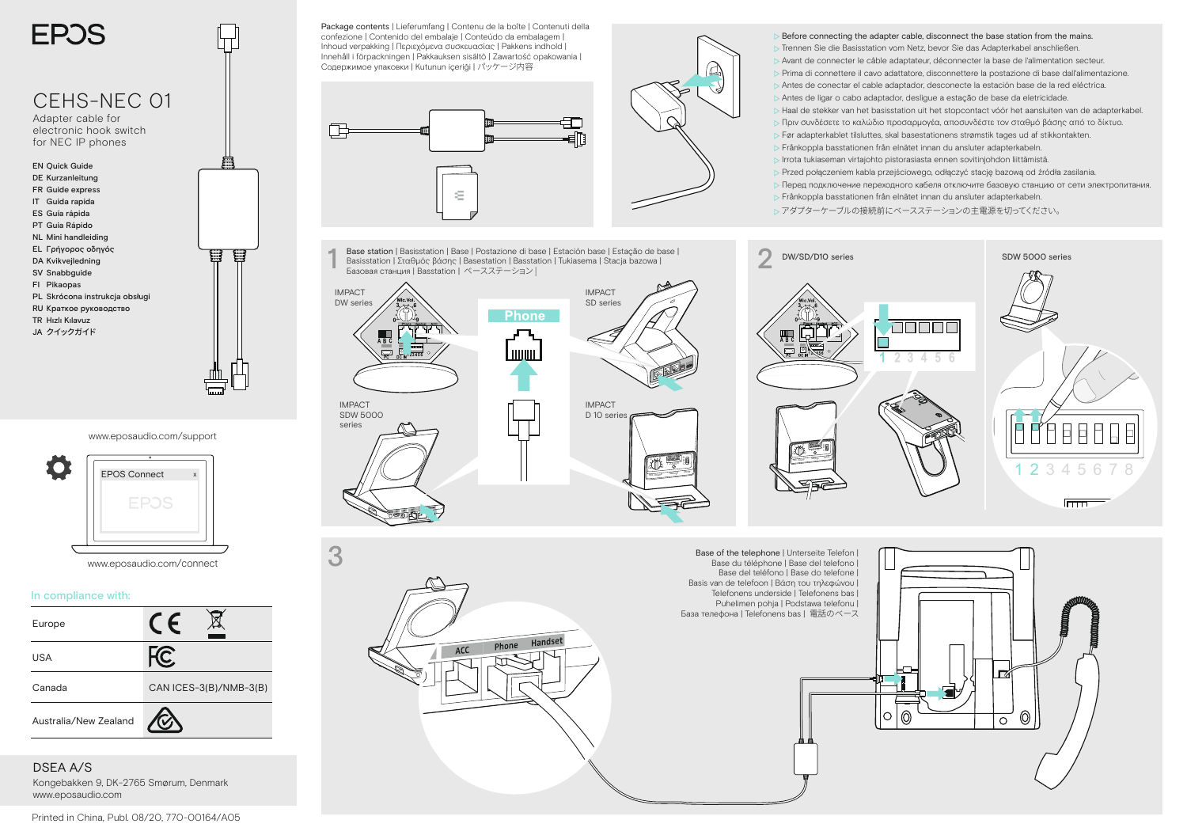

IMPACT SDW 5000 series

www.eposaudio.com/support



www.eposaudio.com/connect

## In compliance with:



DSEA A/S Kongebakken 9, DK-2765 Smørum, Denmark www.eposaudio.com

Package contents | Lieferumfang | Contenu de la boîte | Contenuti della confezione | Contenido del embalaje | Conteúdo da embalagem | Inhoud verpakking | Περιεχόμενα συσκευασίας | Pakkens indhold | Innehåll i förpackningen | Pakkauksen sisältö | Zawartość opakowania | Содержимое упаковки | Kutunun iceriği | パッケージ内容



1 Base station | Basisstation | Base | Postazione di base | Estación base | Estação de base |<br>Basisstation | Σταθμός βάσης | Basestation | Alexandro | Dasstation | Tukiasema | Stacja bazowa |<br>Basobas cтанция | Basstation **Базовая станция | Basstation | ベースステーション|** 





Mic. Volume Settings Mode <sup>3</sup> <sup>6</sup> 23456 C

 $\triangleright$  Before connecting the adapter cable, disconnect the base station from the mains. Trennen Sie die Basisstation vom Netz, bevor Sie das Adapterkabel anschließen. Avant de connecter le câble adaptateur, déconnecter la base de l'alimentation secteur. Prima di connettere il cavo adattatore, disconnettere la postazione di base dall'alimentazione. Antes de conectar el cable adaptador, desconecte la estación base de la red eléctrica. Antes de ligar o cabo adaptador, desligue a estação de base da eletricidade. Haal de stekker van het basisstation uit het stopcontact vóór het aansluiten van de adapterkabel. Πριν συνδέσετε το καλώδιο προσαρμογέα, αποσυνδέστε τον σταθμό βάσης από το δίκτυο.

- Før adapterkablet tilsluttes, skal basestationens strømstik tages ud af stikkontakten.
- Frånkoppla basstationen från elnätet innan du ansluter adapterkabeln.
- Irrota tukiaseman virtajohto pistorasiasta ennen sovitinjohdon liittämistä.
- Przed połączeniem kabla przejściowego, odłączyć stację bazową od źródła zasilania.
- Перед подключение переходного кабеля отключите базовую станцию от сети электропитания. Frånkoppla basstationen från elnätet innan du ansluter adapterkabeln.
- $\triangleright$  アダプターケーブルの接続前にベースステーションの主電源を切ってください。







3 Base of the telephone | Unterseite Telefon | Base du téléphone | Base del telefono | Base del teléfono | Base do telefone | Basis van de telefoon | Βάση του τηλεφώνου | Telefonens underside | Telefonens bas | Puhelimen pohja | Podstawa telefonu | База телефона | Telefonens bas | 電話のベース